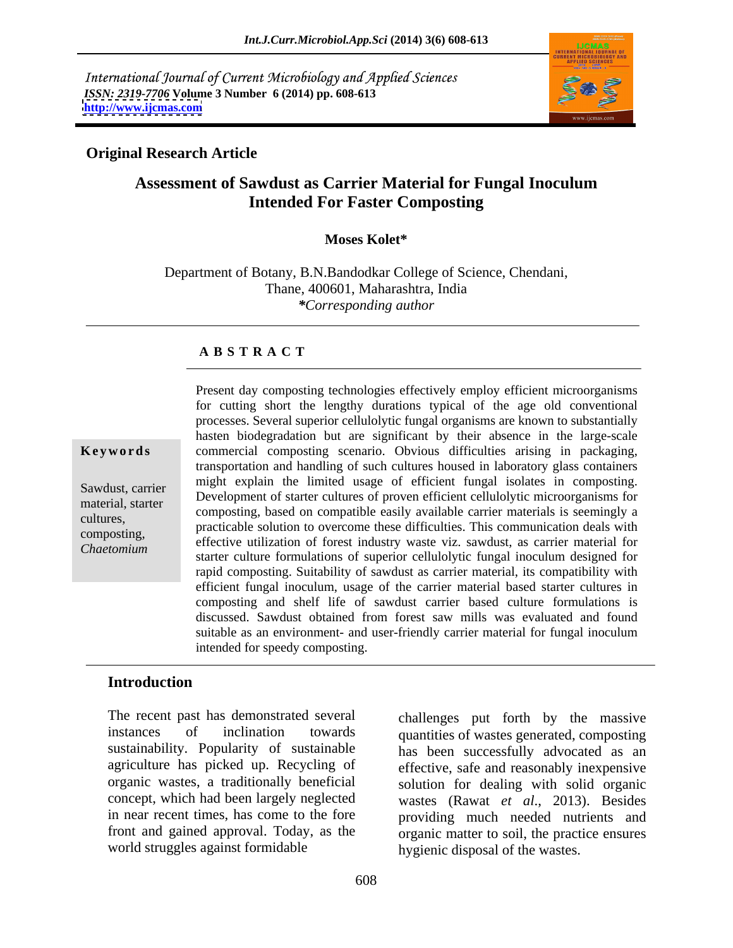International Journal of Current Microbiology and Applied Sciences *ISSN: 2319-7706* **Volume 3 Number 6 (2014) pp. 608-613 <http://www.ijcmas.com>**



## **Original Research Article**

# **Assessment of Sawdust as Carrier Material for Fungal Inoculum Intended For Faster Composting**

### **Moses Kolet\***

Department of Botany, B.N.Bandodkar College of Science, Chendani, Thane, 400601, Maharashtra, India *\*Corresponding author*

### **A B S T R A C T**

**Keywords** commercial composting scenario. Obvious difficulties arising in packaging, Sawdust, carrier and the principle in the minimident is a starter in the composition of starter cultures of proven efficient cellulolytic microorganisms for metamaterial, starter and the composting based on compatible easily available carrier materials is seemingly a composting, based on compatible easily available carrier materials is seemingly a cultures,<br>
practicable solution to overcome these difficulties. This communication deals with composting, effective utilization of forest industry waste viz. sawdust, as carrier material for *Chaetomium*starter culture formulations of superior cellulolytic fungal inoculum designed for
starter culture formulations of superior cellulolytic fungal inoculum designed for
the the starter culture formulations of sup Present day composting technologies effectively employ efficient microorganisms for cutting short the lengthy durations typical of the age old conventional processes. Several superior cellulolytic fungal organisms are known to substantially hasten biodegradation but are significant by their absence in the large-scale transportation and handling of such cultures housed in laboratory glass containers might explain the limited usage of efficient fungal isolates in composting. rapid composting. Suitability of sawdust as carrier material, its compatibility with efficient fungal inoculum, usage of the carrier material based starter cultures in composting and shelf life of sawdust carrier based culture formulations is discussed. Sawdust obtained from forest saw mills was evaluated and found suitable as an environment- and user-friendly carrier material for fungal inoculum intended for speedy composting.

## **Introduction**

The recent past has demonstrated several challenges put forth by the massive instances of inclination towards quantities of wastes generated, composting sustainability. Popularity of sustainable has been successfully advocated as an agriculture has picked up. Recycling of effective, safe and reasonably inexpensive organic wastes, a traditionally beneficial concept, which had been largely neglected wastes (Rawat *et al*., 2013). Besides in near recent times, has come to the fore providing much needed nutrients and front and gained approval. Today, as the organic matter to soil, the practice ensures world struggles against formidable

solution for dealing with solid organic hygienic disposal of the wastes.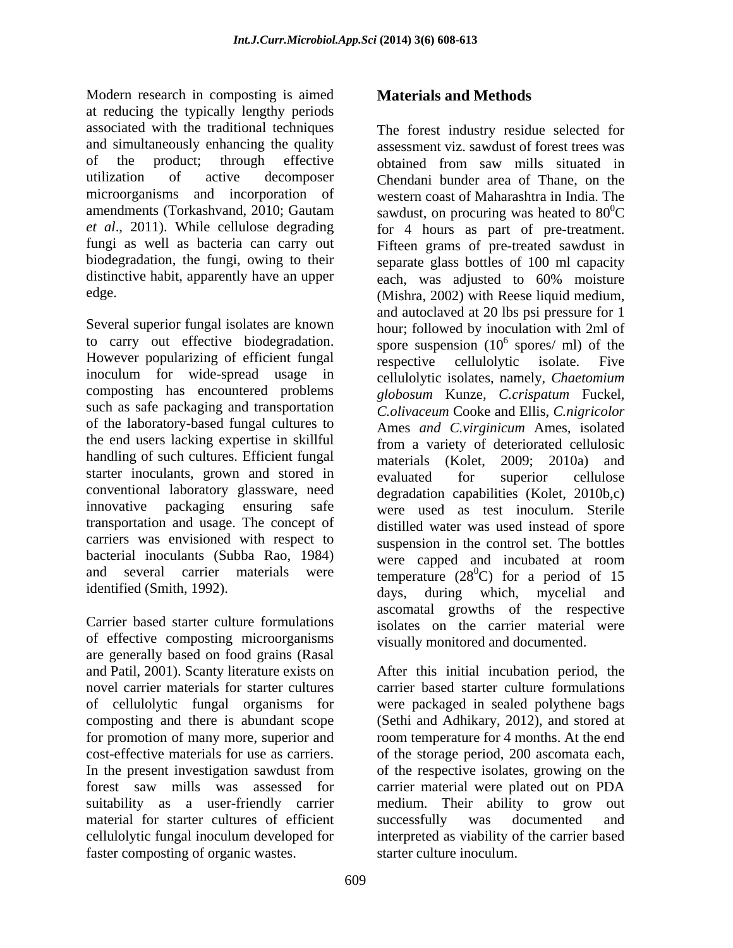Modern research in composting is aimed **Materials and Methods** at reducing the typically lengthy periods associated with the traditional techniques The forest industry residue selected for of the product; through effective obtained from saw mills situated in distinctive habit, apparently have an upper each, was adjusted to 60% moisture

Several superior fungal isolates are known However popularizing of efficient fungal respective cellulolytic isolate. Five inoculum for wide-spread usage in composting has encountered problems *globosum* Kunze, *C.crispatum* Fuckel, such as safe packaging and transportation Cooke and Ellis, C.nigricolor of the laboratory-based fungal cultures to the end users lacking expertise in skillful handling of such cultures. Efficient fungal starter inoculants, grown and stored in evaluated for superior cellulose conventional laboratory glassware, need transportation and usage. The concept of carriers was envisioned with respect to bacterial inoculants (Subba Rao, 1984) were capped and incubated at room

of effective composting microorganisms are generally based on food grains (Rasal and Patil, 2001). Scanty literature exists on After this initial incubation period, the novel carrier materials for starter cultures carrier based starter culture formulations of cellulolytic fungal organisms for were packaged in sealed polythene bags composting and there is abundant scope (Sethi and Adhikary, 2012), and stored at for promotion of many more, superior and room temperature for 4 months. At the end cost-effective materials for use as carriers. of the storage period, 200 ascomata each, In the present investigation sawdust from of the respective isolates, growing on the forest saw mills was assessed for carrier material were plated out on PDA suitability as a user-friendly carrier medium. Their ability to grow out material for starter cultures of efficient successfully was documented and cellulolytic fungal inoculum developed for interpreted as viability of the carrier based

and simultaneously enhancing the quality assessment viz. sawdust of forest trees was utilization of active decomposer Chendani bunder area of Thane, on the microorganisms and incorporation of western coast of Maharashtra in India. The amendments (Torkashvand, 2010; Gautam sawdust, on procuring was heated to  $80^0C$ *et al*., 2011). While cellulose degrading for 4 hours as part of pre-treatment. fungi as well as bacteria can carry out Fifteen grams of pre-treated sawdust in biodegradation, the fungi, owing to their separate glass bottles of 100 ml capacity edge. (Mishra, 2002) with Reese liquid medium, to carry out effective biodegradation. spore suspension  $(10^6 \text{ spores/ml})$  of the innovative packaging ensuring safe were used as test inoculum. Sterile and several carrier materials were temperature  $(28^0C)$  for a period of 15 identified (Smith, 1992). days, during which, nycelial and Carrier based starter culture formulations isolates on the carrier material were Motern resumes is increased to composing is annel and Methods<br>and the composite of organic methods and the composite of the forest industry residues of the faster composite of the composite of the composite of the state of obtained from saw mills situated in  ${}^{0}C$ each, was adjusted to 60% moisture and autoclaved at 20 lbs psi pressure for 1 hour; followed by inoculation with 2ml of spores/ ml) of the respective cellulolytic isolate. Five cellulolytic isolates, namely, *Chaetomium globosum* Kunze*, C.crispatum* Fuckel*, C.olivaceum* Cooke and Ellis*, C.nigricolor*  Ames *and C.virginicum* Ames*,* isolated from a variety of deteriorated cellulosic materials (Kolet, 2009; 2010a) and evaluated for superior cellulose degradation capabilities (Kolet, 2010b,c) distilled water was used instead of spore suspension in the control set. The bottles were capped and incubated at room  $^{0}$ C) for a period of 15 days, during which, mycelial and ascomatal growths of the respective

visually monitored and documented. After this initial incubation period, the medium. Their ability to grow out successfully was documented and starter culture inoculum.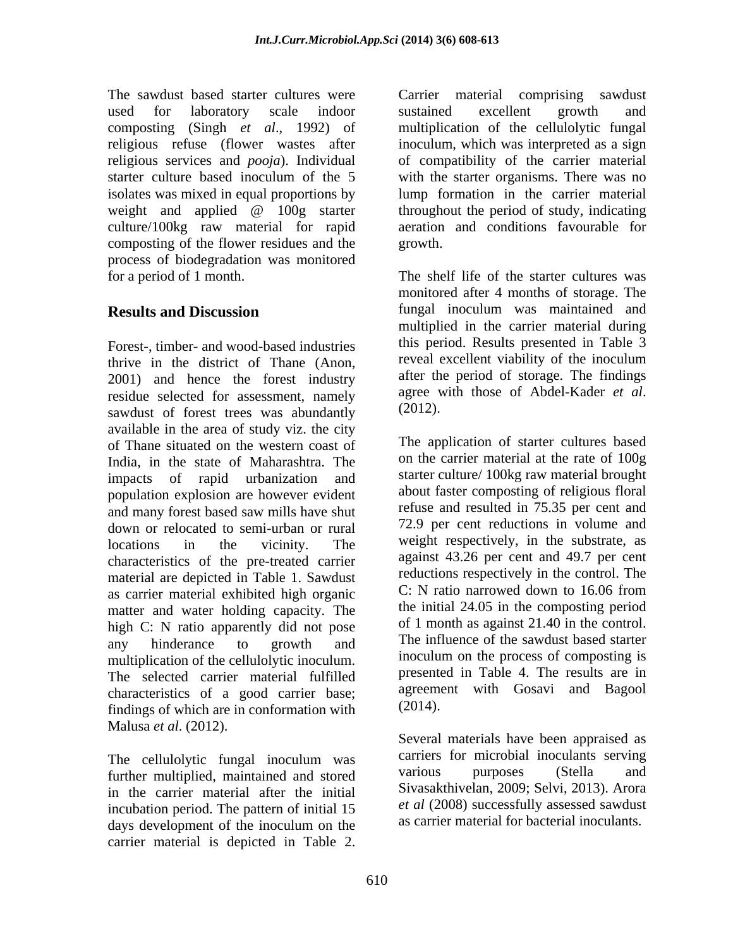used for laboratory scale indoor composting (Singh *et al*., 1992) of religious refuse (flower wastes after inoculum, which was interpreted as a sign religious services and *pooja*). Individual of compatibility of the carrier material starter culture based inoculum of the 5 with the starter organisms. There was no isolates was mixed in equal proportions by lump formation in the carrier material weight and applied @ 100g starter throughout the period of study, indicating culture/100kg raw material for rapid composting of the flower residues and the process of biodegradation was monitored

Forest-, timber- and wood-based industries this period. Results presented in Table 3<br>thrive in the district of Thane (Apon reveal excellent viability of the inoculum thrive in the district of Thane (Anon, 2001) and hence the forest industry after the period of storage. The findings<br>residue selected for assessment namely agree with those of Abdel-Kader *et al.* residue selected for assessment, namely agree w<br>sawdust of forest trees was abundantly (2012). sawdust of forest trees was abundantly available in the area of study viz. the city of Thane situated on the western coast of India, in the state of Maharashtra. The impacts of rapid urbanization and population explosion are however evident and many forest based saw mills have shut down or relocated to semi-urban or rural characteristics of the pre-treated carrier material are depicted in Table 1. Sawdust as carrier material exhibited high organic matter and water holding capacity. The the initial 24.05 in the composting period<br>high  $C: N$  ratio apparantly did not pose of 1 month as against 21.40 in the control. high C: N ratio apparently did not pose of 1 month as against 21.40 in the control.<br>The influence of the sawdust based starter multiplication of the cellulolytic inoculum. The selected carrier material fulfilled characteristics of a good carrier base; agreement<br>findings of which are in conformation with  $(2014)$ . findings of which are in conformation with Malusa *et al*. (2012). The awakels sawdust beam the carrier material comprising sawdust<br>the same compression of the colludgive fungate compression of the colludgive fungate<br>digitions cervices only  $\rho/\rho$  in the material integer and the compress

The cellulolytic fungal inoculum was carriers for microbial inoculants serving<br>further multiplied maintained and stored various purposes (Stella and further multiplied, maintained and stored in the carrier material after the initial incubation period. The pattern of initial 15 days development of the inoculum on the as carrier material for bacterial inoculants.

The sawdust based starter cultures were Carrier material comprising sawdust sustained excellent growth and multiplication of the cellulolytic fungal throughout the period of study, indicating aeration and conditions favourable for growth.

for a period of 1 month. The shelf life of the starter cultures was **Results and Discussion** fungal inoculum was maintained and monitored after 4 months of storage. The multiplied in the carrier material during this period. Results presented in Table 3 reveal excellent viability of the inoculum after the period of storage. The findings agree with those of Abdel-Kader *et al*. (2012).

locations in the vicinity. The weight respectively, in the substrate, as any hinderance to growth and The influence of the sawdust based starter The application of starter cultures based on the carrier material at the rate of 100g starter culture/ 100kg raw material brought about faster composting of religious floral refuse and resulted in 75.35 per cent and 72.9 per cent reductions in volume and against 43.26 per cent and 49.7 per cent reductions respectively in the control. The C: N ratio narrowed down to 16.06 from the initial 24.05 in the composting period of <sup>1</sup> month as against 21.40 in the control. The influence of the sawdust based starter inoculum on the process of composting is presented in Table 4. The results are in agreement with Gosavi and Bagool (2014).

> Several materials have been appraised as carriers for microbial inoculants serving various purposes (Stella and Sivasakthivelan, 2009; Selvi, 2013). Arora *et al* (2008) successfully assessed sawdust as carrier material for bacterial inoculants.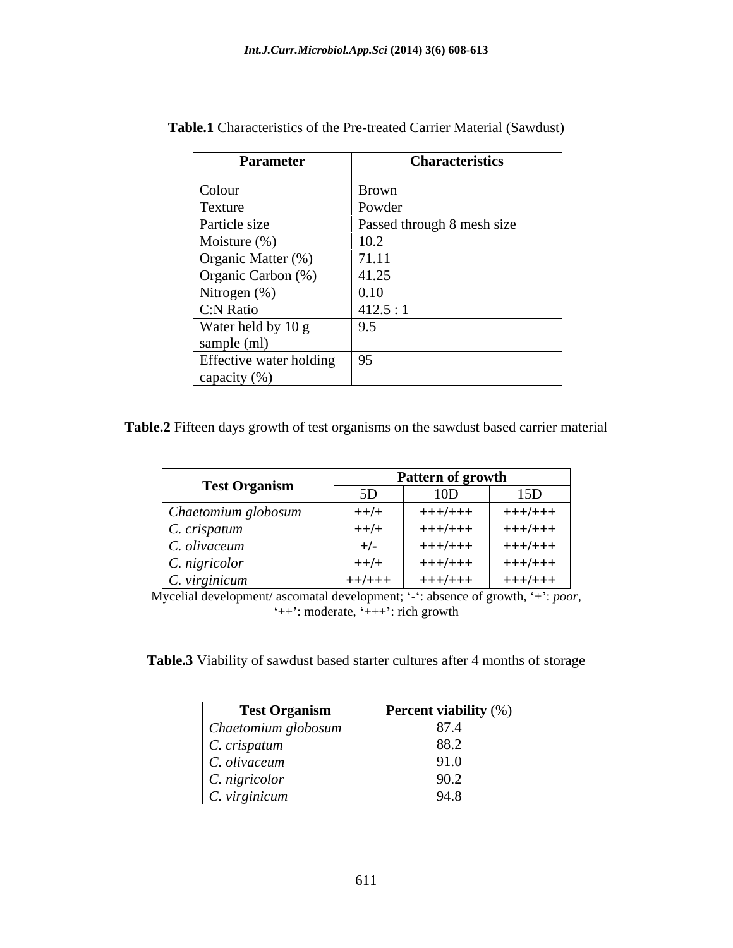| <b>Parameter</b>        | <b>Characteristics</b>     |
|-------------------------|----------------------------|
| Colour                  | Brown                      |
| Texture                 | Powder                     |
| Particle size           | Passed through 8 mesh size |
| Moisture $(\%)$         | 10.2                       |
| Organic Matter (%)      | 71.11                      |
| Organic Carbon (%)      | 41.25                      |
| Nitrogen (%)            | 0.10                       |
| C:N Ratio               | 412.5:1                    |
| Water held by 10 g      | 9.5                        |
| sample (ml)             |                            |
| Effective water holding | 95                         |
| capacity (%)            |                            |

**Table.1** Characteristics of the Pre-treated Carrier Material (Sawdust)

**Table.2** Fifteen days growth of test organisms on the sawdust based carrier material

|                      | <b>Pattern of growth</b> |           |         |
|----------------------|--------------------------|-----------|---------|
| <b>Test Organism</b> |                          | $\sim$ UD | 15D     |
| Chaetomium globosum  | $++/+$                   | +++/+++   | +++/+++ |
| C. crispatum         | $++/+$                   | +++/+++   | +++/+++ |
| C. olivaceum         | $+/-$                    | +++/+++   | +++/+++ |
| C. nigricolor        | $++/+$                   | +++/+++   | +++/+++ |
| $\mid$ C. virginicum | $++/++$                  | +++/+++   | +++/+++ |

Mycelial development/ ascomatal development; '-': absence of growth, '+': *poor*, '++': moderate, '+++': rich growth

**Table.3** Viability of sawdust based starter cultures after 4 months of storage

| <b>Test Organism</b> | <b>Percent viability</b> (%)    |
|----------------------|---------------------------------|
| Chaetomium globosum  | $\Omega$ $\Xi$ $\Lambda$<br>0.7 |
| C. crispatum         |                                 |
| C. olivaceum         | 010<br>, v                      |
| C. nigricolor        | ノ∪.∠                            |
| $\mid$ C. virginicum | 0.40                            |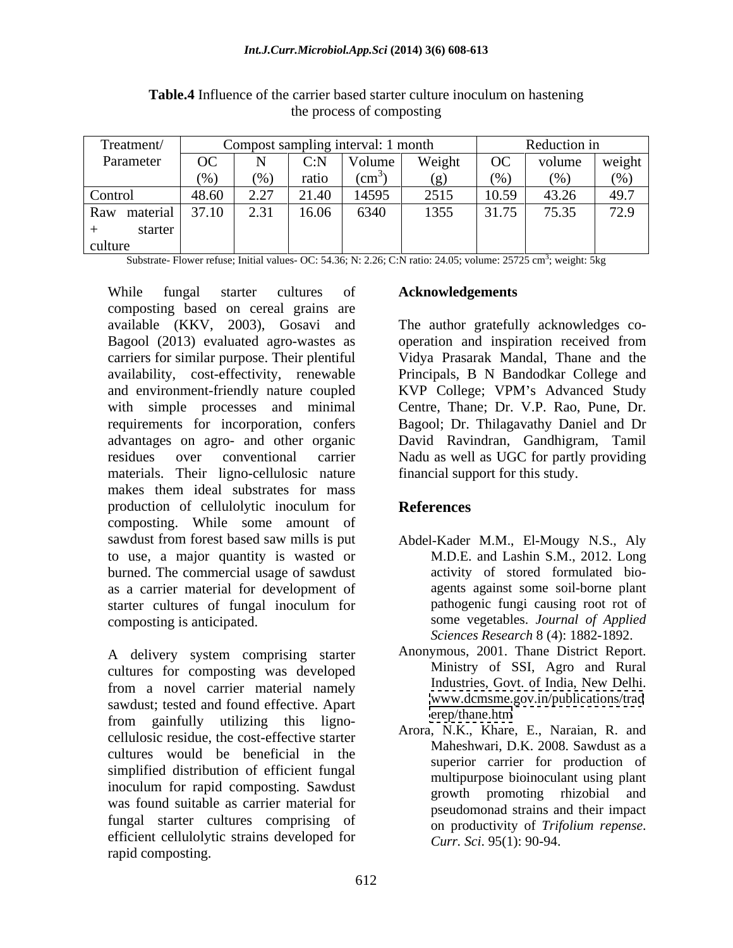| Treatment/   | Compost sampling interval: 1 month |                               |       |               |        | Reduction in |              |        |
|--------------|------------------------------------|-------------------------------|-------|---------------|--------|--------------|--------------|--------|
| Parameter    | OC                                 |                               | C: N  | Volume        | Weight | OC           | volume       | weight |
|              | (0,1)                              | (0)                           | ratio | $\text{cm}^3$ |        |              | $(0/\gamma)$ |        |
| Control      | 48.60                              | 2.27<br>$\angle$ . $\angle$ 1 | 21.40 | 14595         | 2515   | 10.59        | 43.26        | 49.7   |
| Raw material | 37.10                              | $\sim$ 0.1                    | 16.06 | 6340          | 1355   | 31.75        | 75.35        | 72.9   |
| starter      |                                    |                               |       |               |        |              |              |        |
| culture      |                                    |                               |       |               |        |              |              |        |

**Table.4** Influence of the carrier based starter culture inoculum on hastening the process of composting

Substrate- Flower refuse; Initial values- OC: 54.36; N: 2.26; C:N ratio: 24.05; volume: 25725 cm<sup>3</sup>; weight: 5kg ; weight: 5kg

While fungal starter cultures of Acknowledgements composting based on cereal grains are available (KKV, 2003), Gosavi and The author gratefully acknowledges co- Bagool (2013) evaluated agro-wastes as operation and inspiration received from carriers for similar purpose. Their plentiful Vidya Prasarak Mandal, Thane and the availability, cost-effectivity, renewable Principals, B N Bandodkar College and and environment-friendly nature coupled KVP College; VPM's Advanced Study with simple processes and minimal requirements for incorporation, confers advantages on agro- and other organic David Ravindran, Gandhigram, Tamil residues over conventional carrier Nadu as well as UGC for partly providing materials. Their ligno-cellulosic nature makes them ideal substrates for mass production of cellulolytic inoculum for References composting. While some amount of sawdust from forest based saw mills is put to use, a major quantity is wasted or burned. The commercial usage of sawdust as a carrier material for development of starter cultures of fungal inoculum for composting is anticipated. some vegetables. *Journal of Applied* While formal starter cultures of **Acknowledgements**<br>
composiing based on cerced grains are<br>
acadbook (KKV, 2003). Gossavi and The author gratefully acknowledges co-<br>
aragood (2013) evaluated agro-wastes as<br>
operation and i

A delivery system comprising starter cultures for composting was developed<br>
From a powel certier metorial pamely<br>
Industries Govt of India New Delhi. from a novel carrier material namely sawdust; tested and found effective. Apart www.dcmsme.g<br>from eximilarly utilizing this lines from gainfully utilizing this ligno cellulosic residue, the cost-effective starter cultures would be beneficial in the simplified distribution of efficient fungal inoculum for rapid composting. Sawdust<br>growth promoting rhizobial and was found suitable as carrier material for fungal starter cultures comprising of productivity of Trifolium repense. efficient cellulolytic strains developed for

Centre, Thane; Dr. V.P. Rao, Pune, Dr. Bagool; Dr. Thilagavathy Daniel and Dr financial support for this study.

# **References**

- Abdel-Kader M.M., El-Mougy N.S., Aly M.D.E. and Lashin S.M., 2012. Long activity of stored formulated bio agents against some soil-borne plant pathogenic fungi causing root rot of *Sciences Research* 8 (4): 1882-1892.
- Anonymous, 2001. Thane District Report. Ministry of SSI, Agro and Rural Industries, Govt. of India, New Delhi. [www.dcmsme.gov.in/publications/trad](http://www.dcmsme.gov.in/publications/trad) <erep/thane.htm>
- Arora, N.K., Khare, E., Naraian, R. and Maheshwari, D.K. 2008. Sawdust as a superior carrier for production of multipurpose bioinoculant using plant growth promoting rhizobial pseudomonad strains and their impact on productivity of *Trifolium repense*. *Curr. Sci*. 95(1): 90-94.